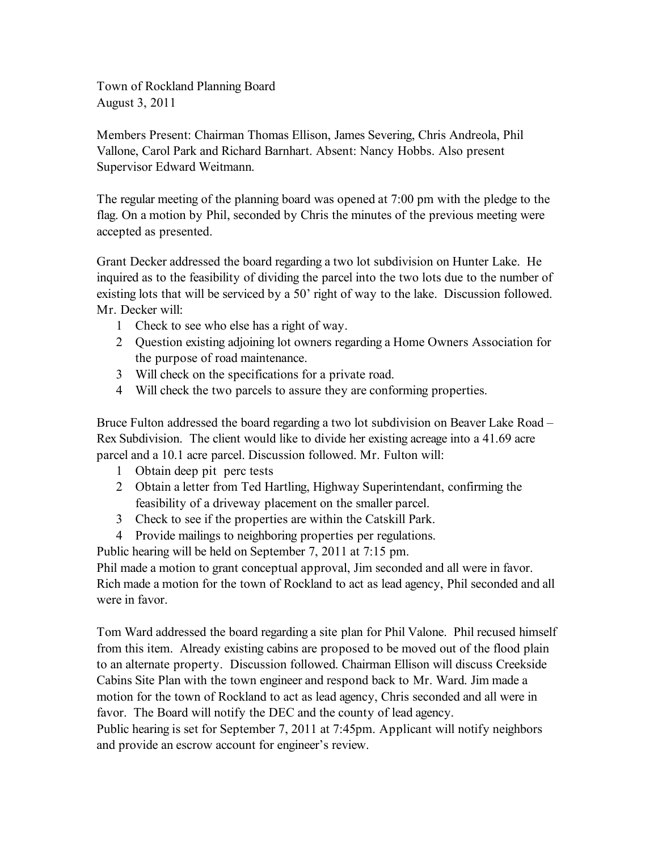Town of Rockland Planning Board August 3, 2011

Members Present: Chairman Thomas Ellison, James Severing, Chris Andreola, Phil Vallone, Carol Park and Richard Barnhart. Absent: Nancy Hobbs. Also present Supervisor Edward Weitmann.

The regular meeting of the planning board was opened at 7:00 pm with the pledge to the flag. On a motion by Phil, seconded by Chris the minutes of the previous meeting were accepted as presented.

Grant Decker addressed the board regarding a two lot subdivision on Hunter Lake. He inquired as to the feasibility of dividing the parcel into the two lots due to the number of existing lots that will be serviced by a 50' right of way to the lake. Discussion followed. Mr. Decker will:

- 1 Check to see who else has a right of way.
- 2 Question existing adjoining lot owners regarding a Home Owners Association for the purpose of road maintenance.
- 3 Will check on the specifications for a private road.
- 4 Will check the two parcels to assure they are conforming properties.

Bruce Fulton addressed the board regarding a two lot subdivision on Beaver Lake Road – Rex Subdivision. The client would like to divide her existing acreage into a 41.69 acre parcel and a 10.1 acre parcel. Discussion followed. Mr. Fulton will:

- 1 Obtain deep pit perc tests
- 2 Obtain a letter from Ted Hartling, Highway Superintendant, confirming the feasibility of a driveway placement on the smaller parcel.
- 3 Check to see if the properties are within the Catskill Park.
- 4 Provide mailings to neighboring properties per regulations.

Public hearing will be held on September 7, 2011 at 7:15 pm.

Phil made a motion to grant conceptual approval, Jim seconded and all were in favor. Rich made a motion for the town of Rockland to act as lead agency, Phil seconded and all were in favor.

Tom Ward addressed the board regarding a site plan for Phil Valone. Phil recused himself from this item. Already existing cabins are proposed to be moved out of the flood plain to an alternate property. Discussion followed. Chairman Ellison will discuss Creekside Cabins Site Plan with the town engineer and respond back to Mr. Ward. Jim made a motion for the town of Rockland to act as lead agency, Chris seconded and all were in favor. The Board will notify the DEC and the county of lead agency.

Public hearing is set for September 7, 2011 at 7:45pm. Applicant will notify neighbors and provide an escrow account for engineer's review.